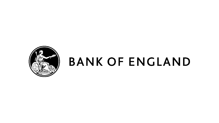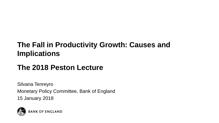# **The Fall in Productivity Growth: Causes and Implications**

## **The 2018 Peston Lecture**

Silvana Tenreyro Monetary Policy Committee, Bank of England 15 January 2018

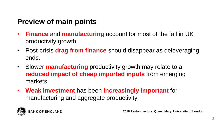# **Preview of main points**

- **Finance** and **manufacturing** account for most of the fall in UK productivity growth.
- Post-crisis **drag from finance** should disappear as deleveraging ends.
- Slower **manufacturing** productivity growth may relate to a **reduced impact of cheap imported inputs** from emerging markets.
- **Weak investment** has been **increasingly important** for manufacturing and aggregate productivity.

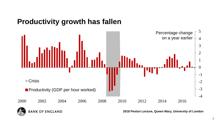## **Productivity growth has fallen**

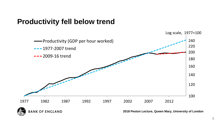## **Productivity fell below trend**



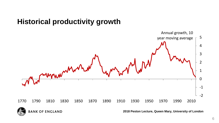## **Historical productivity growth**



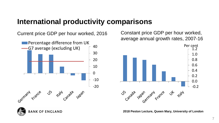## **International productivity comparisons**

Current price GDP per hour worked, 2016



Constant price GDP per hour worked, average annual growth rates, 2007-16



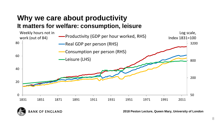## **Why we care about productivity It matters for welfare: consumption, leisure**



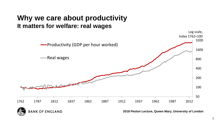## **Why we care about productivity It matters for welfare: real wages**



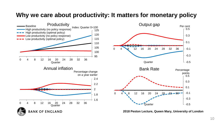#### **Why we care about productivity: It matters for monetary policy**

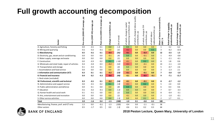## **Full growth accounting decomposition**

| Sector                                            | Pre-crisis (2000-07) average, pp | 윤<br>average,<br>ခြ<br>(2007)<br>Crisis | 윤<br>average,<br>crisis (2009-15)<br>Post- | 윤<br>contribution,<br>으.<br>Change | (% of total) | of which, change in capital<br>deepening contribution, pp | labour quality<br>of which, change in<br>contribution, pp | Ê<br>Ξ.<br>changei<br>윤<br>of which, char<br>contribution, <sub>I</sub> | å<br>reallocation/other,<br>which labour<br>$\overline{5}$ | GVA,<br>nominal<br>으.<br>ğ<br>ğ,<br>Share of :<br>2007, % | Actual change in <u>quantity</u><br>productivity growth, pp<br>growth, | revenue<br>Actual change in <u>revenu</u><br>productivity growth, pp |                                                       |
|---------------------------------------------------|----------------------------------|-----------------------------------------|--------------------------------------------|------------------------------------|--------------|-----------------------------------------------------------|-----------------------------------------------------------|-------------------------------------------------------------------------|------------------------------------------------------------|-----------------------------------------------------------|------------------------------------------------------------------------|----------------------------------------------------------------------|-------------------------------------------------------|
| A: Agriculture, forestry and fishing              | 0.0                              | $-0.1$                                  | 0.1                                        | 0.0                                | $(-2)$       | 0.0                                                       | 0.0                                                       | 0.0                                                                     | 0.0                                                        | $\mathbf{1}$                                              | 3.2                                                                    | 6.2                                                                  |                                                       |
| B: Mining and quarrying                           | $-0.1$                           | $-0.2$                                  | $-0.1$                                     | 0.0                                | (1)          | $-0.2$                                                    | 0.0                                                       | 0.0                                                                     | 0.2                                                        | 3                                                         | $-6.2$                                                                 | $-13.5$                                                              |                                                       |
| C: Manufacturing                                  | 0.5                              | $-0.1$                                  | 0.1                                        | $-0.5$                             | (31)         | $-0.1$                                                    | 0.0                                                       | $-0.3$                                                                  | 0.0                                                        | 12                                                        | $-3.5$                                                                 | 1.3                                                                  |                                                       |
| D: Electricity, gas, steam and air conditioning   | 0.0                              | 0.0                                     | 0.0                                        | $-0.1$                             | (4)          | 0.0                                                       | 0.0                                                       | $-0.1$                                                                  | 0.0                                                        | $\mathbf{1}$                                              | $-4.9$                                                                 | $-0.8$                                                               |                                                       |
| E: Water supply, sewerage and waste               | 0.0                              | 0.0                                     | 0.0                                        | 0.0                                | (1)          | 0.0                                                       | 0.0                                                       | 0.0                                                                     | 0.0                                                        | $\mathbf{1}$                                              | $-2.1$                                                                 | $-6.1$                                                               |                                                       |
| F: Construction                                   | 0.0                              | $-0.3$                                  | 0.2                                        | 0.1                                | $(-10)$      | $-0.1$                                                    | 0.0                                                       | 0.2                                                                     | 0.0                                                        | 8                                                         | 1.8                                                                    | 0.6                                                                  |                                                       |
| G: Wholesale and retail trade; repair of vehicles | 0.4                              | $-0.4$                                  | 0.3                                        | $-0.2$                             | (12)         | $-0.1$                                                    | 0.0                                                       | $-0.1$                                                                  | 0.0                                                        | 13                                                        | $-1.1$                                                                 | $-1.0$                                                               |                                                       |
| H: Transportation and storage                     | 0.1                              | $-0.3$                                  | 0.1                                        | 0.0                                | (3)          | 0.0                                                       | 0.0                                                       | 0.0                                                                     | 0.0                                                        | 5                                                         | $-0.7$                                                                 | 2.6                                                                  |                                                       |
| I: Accomodation and food service                  | 0.0                              | 0.0                                     | 0.0                                        | 0.0                                | (3)          | 0.0                                                       | 0.0                                                       | 0.0                                                                     | 0.0                                                        | 3                                                         | $-1.3$                                                                 | 2.1                                                                  |                                                       |
| J: Information and communication (ICT)            | 0.3                              | 0.1                                     | 0.1                                        | $-0.2$                             | (13)         | $-0.1$                                                    | 0.0                                                       | $-0.1$                                                                  | 0.0                                                        | $\overline{7}$                                            | $-3.0$                                                                 | $-1.0$                                                               |                                                       |
| K: Financial and insurance                        | 0.4                              | 0.2                                     | -0.3                                       | $-0.6$                             | (43)         | $-0.1$                                                    | 0.0                                                       | $-0.5$                                                                  | $-0.1$                                                     | 9                                                         | $-7.1$                                                                 | $-11.7$                                                              |                                                       |
| L: Real estate (excluded)                         |                                  |                                         |                                            |                                    |              |                                                           |                                                           |                                                                         |                                                            |                                                           |                                                                        |                                                                      |                                                       |
| M: Professional, scientific and technical         | 0.3                              | $-0.1$                                  | 0.1                                        | $-0.2$                             | (14)         | $-0.1$                                                    | 0.0                                                       | $-0.1$                                                                  | 0.0                                                        | 8                                                         | $-2.7$                                                                 | $-1.2$                                                               |                                                       |
| N: Administrative and support service             | 0.0                              | $-0.1$                                  | 0.2                                        | 0.1                                | $(-8)$       | $-0.1$                                                    | 0.0                                                       | 0.2                                                                     | 0.0                                                        | 5                                                         | 2.4                                                                    | 0.0                                                                  |                                                       |
| O: Public administration and defence              | 0.0                              | 0.1                                     | 0.0                                        | 0.0                                | (0)          | 0.0                                                       | 0.0                                                       | 0.0                                                                     | 0.0                                                        | 6                                                         | 0.3                                                                    | 0.6                                                                  |                                                       |
| P: Education                                      | $-0.1$                           | $-0.2$                                  | $-0.1$                                     | 0.0                                | $(-2)$       | 0.0                                                       | 0.0                                                       | 0.0                                                                     | 0.0                                                        | $\overline{7}$                                            | 0.7                                                                    | $-3.3$                                                               |                                                       |
| Q: Human health and social work                   | 0.1                              | $-0.1$                                  | 0.0                                        | 0.0                                | (1)          | 0.0                                                       | 0.0                                                       | 0.0                                                                     | 0.0                                                        | 8                                                         | $-0.4$                                                                 | $-3.1$                                                               |                                                       |
| R: Arts, entertainment and recreation             | 0.0                              | 0.0                                     | 0.0                                        | 0.0                                | (1)          | $-0.1$                                                    | 0.0                                                       | 0.0                                                                     | 0.0                                                        | $\overline{2}$                                            | $-1.0$                                                                 | $-0.1$                                                               |                                                       |
| S: Other service activities                       | 0.0                              | 0.0                                     | 0.0                                        | 0.0                                | $(-3)$       | 0.0                                                       | 0.0                                                       | 0.1                                                                     | 0.0                                                        | $\overline{2}$                                            | 1.7                                                                    | 0.1                                                                  |                                                       |
| <b>Total</b>                                      | 2.0                              | $-1.6$                                  | 0.4                                        | $-1.5$                             | (100)        | $-1.0$                                                    | 0.1                                                       | $-0.8$                                                                  | 0.2                                                        | 100                                                       |                                                                        |                                                                      |                                                       |
| Manufacturing, finance, prof. and ICT only        | 1.5                              | 0.0                                     | $-0.1$                                     | $-1.5$                             | (103)        | $-0.4$                                                    | 0.0                                                       | $-1.1$                                                                  | -0.1                                                       | 36                                                        |                                                                        |                                                                      |                                                       |
| Other sectors                                     | 0.5                              | $-1.7$                                  | 0.5                                        | 0.0                                | $(-3)$       | $-0.6$                                                    | 0.1                                                       | 0.2                                                                     | 0.3                                                        | 64                                                        |                                                                        |                                                                      |                                                       |
| <b>K OF ENGLAND</b>                               |                                  |                                         |                                            |                                    |              |                                                           |                                                           |                                                                         |                                                            |                                                           |                                                                        |                                                                      | 2018 Peston Lecture, Queen Mary, University of London |

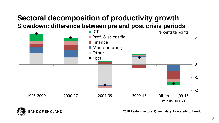## **Sectoral decomposition of productivity growth Slowdown: difference between pre and post crisis periods**



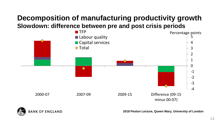## **Decomposition of manufacturing productivity growth Slowdown: difference between pre and post crisis periods**



**BANK OF ENGLAND**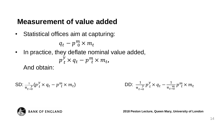## **Measurement of value added**

• Statistical offices aim at capturing:

$$
q_t - p^m_{\ 0} \times m_t
$$

• In practice, they deflate nominal value added,  $p_t^y \times q_t - p_{t}^m \times m_t$ And obtain:

SD: 
$$
\frac{1}{\pi_{t\to 0}}(p_t^y \times q_t - p_{t\to 0}^m \times m_t)
$$
 DD: 
$$
\frac{1}{\pi_{t\to 0}} p_t^y \times q_t - \frac{1}{\pi_{t\to 0}} p_{t\to 0}^m \times m_t
$$

![](_page_13_Picture_5.jpeg)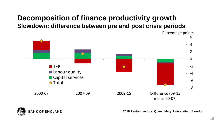## **Decomposition of finance productivity growth Slowdown: difference between pre and post crisis periods**

-8 -6 -4 -2 0 2 4 6 2000-07 2007-09 2009-15 Difference (09-15 minus 00-07) **TFP Labour quality Capital services ◆ Total** 

**BANK OF ENGLAND** 

**2018 Peston Lecture, Queen Mary, University of London**

Percentage points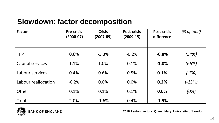# **Slowdown: factor decomposition**

| <b>Factor</b>       | <b>Pre-crisis</b><br>$(2000-07)$ | <b>Crisis</b><br>$(2007-09)$ | <b>Post-crisis</b><br>$(2009-15)$ | <b>Post-crisis</b><br>difference | (% of total) |
|---------------------|----------------------------------|------------------------------|-----------------------------------|----------------------------------|--------------|
| <b>TFP</b>          | 0.6%                             | $-3.3%$                      | $-0.2%$                           | $-0.8%$                          | (54%)        |
| Capital services    | 1.1%                             | 1.0%                         | 0.1%                              | $-1.0%$                          | (66%)        |
| Labour services     | 0.4%                             | 0.6%                         | 0.5%                              | 0.1%                             | $(-7%)$      |
| Labour reallocation | $-0.2%$                          | 0.0%                         | 0.0%                              | 0.2%                             | $(-13%)$     |
| Other               | 0.1%                             | 0.1%                         | 0.1%                              | 0.0%                             | (0%)         |
| Total               | 2.0%                             | $-1.6%$                      | 0.4%                              | $-1.5%$                          |              |

![](_page_15_Picture_2.jpeg)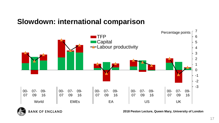## **Slowdown: international comparison**

![](_page_16_Figure_1.jpeg)

![](_page_16_Picture_2.jpeg)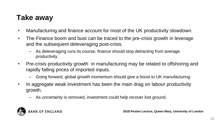# **Take away**

- Manufacturing and finance account for most of the UK productivity slowdown.
- The Finance boom and bust can be traced to the pre-crisis growth in leverage and the subsequent deleveraging post-crisis.
	- As deleveraging runs its course, finance should stop detracting from average productivity.
- Pre-crisis productivity growth in manufacturing may be related to offshoring and rapidly falling prices of imported inputs.
	- Going forward, global growth momentum should give a boost to UK manufacturing.
- In aggregate weak investment has been the main drag on labour productivity growth.
	- As uncertainty is removed, investment could help recover lost ground.

![](_page_17_Picture_8.jpeg)